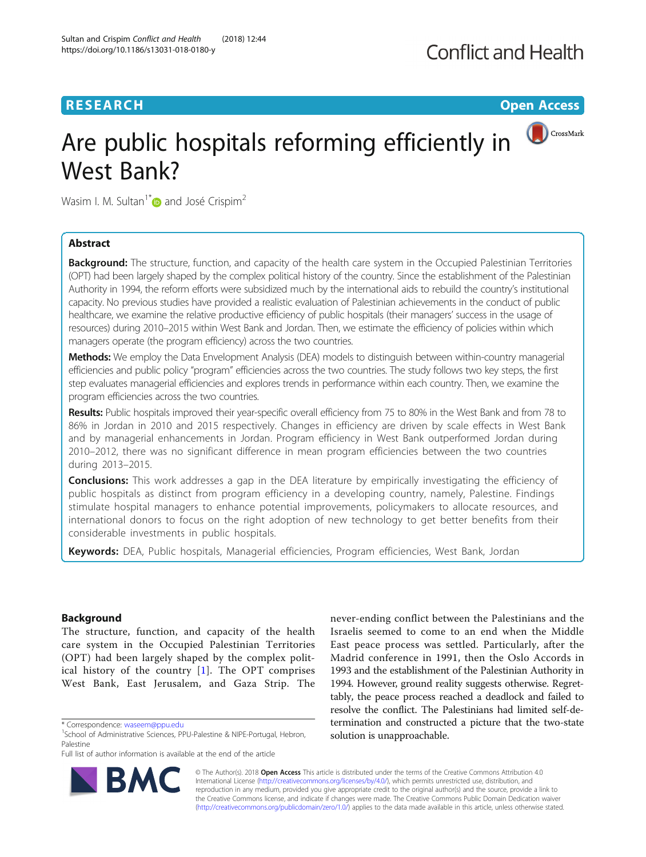## **RESEARCH CHE Open Access**



# Are public hospitals reforming efficiently in West Bank?

Wasim I. M. Sultan<sup>1[\\*](http://orcid.org/0000-0002-3731-579X)</sup> and José Crispim<sup>2</sup>

## Abstract

**Background:** The structure, function, and capacity of the health care system in the Occupied Palestinian Territories (OPT) had been largely shaped by the complex political history of the country. Since the establishment of the Palestinian Authority in 1994, the reform efforts were subsidized much by the international aids to rebuild the country's institutional capacity. No previous studies have provided a realistic evaluation of Palestinian achievements in the conduct of public healthcare, we examine the relative productive efficiency of public hospitals (their managers' success in the usage of resources) during 2010–2015 within West Bank and Jordan. Then, we estimate the efficiency of policies within which managers operate (the program efficiency) across the two countries.

Methods: We employ the Data Envelopment Analysis (DEA) models to distinguish between within-country managerial efficiencies and public policy "program" efficiencies across the two countries. The study follows two key steps, the first step evaluates managerial efficiencies and explores trends in performance within each country. Then, we examine the program efficiencies across the two countries.

Results: Public hospitals improved their year-specific overall efficiency from 75 to 80% in the West Bank and from 78 to 86% in Jordan in 2010 and 2015 respectively. Changes in efficiency are driven by scale effects in West Bank and by managerial enhancements in Jordan. Program efficiency in West Bank outperformed Jordan during 2010–2012, there was no significant difference in mean program efficiencies between the two countries during 2013–2015.

**Conclusions:** This work addresses a gap in the DEA literature by empirically investigating the efficiency of public hospitals as distinct from program efficiency in a developing country, namely, Palestine. Findings stimulate hospital managers to enhance potential improvements, policymakers to allocate resources, and international donors to focus on the right adoption of new technology to get better benefits from their considerable investments in public hospitals.

Keywords: DEA, Public hospitals, Managerial efficiencies, Program efficiencies, West Bank, Jordan

## Background

The structure, function, and capacity of the health care system in the Occupied Palestinian Territories (OPT) had been largely shaped by the complex political history of the country [[1](#page-12-0)]. The OPT comprises West Bank, East Jerusalem, and Gaza Strip. The

\* Correspondence: [waseem@ppu.edu](mailto:waseem@ppu.edu) <sup>1</sup>

**RM** 

Full list of author information is available at the end of the article



© The Author(s). 2018 Open Access This article is distributed under the terms of the Creative Commons Attribution 4.0 International License [\(http://creativecommons.org/licenses/by/4.0/](http://creativecommons.org/licenses/by/4.0/)), which permits unrestricted use, distribution, and reproduction in any medium, provided you give appropriate credit to the original author(s) and the source, provide a link to the Creative Commons license, and indicate if changes were made. The Creative Commons Public Domain Dedication waiver [\(http://creativecommons.org/publicdomain/zero/1.0/](http://creativecommons.org/publicdomain/zero/1.0/)) applies to the data made available in this article, unless otherwise stated.

<sup>&</sup>lt;sup>1</sup>School of Administrative Sciences, PPU-Palestine & NIPE-Portugal, Hebron, Palestine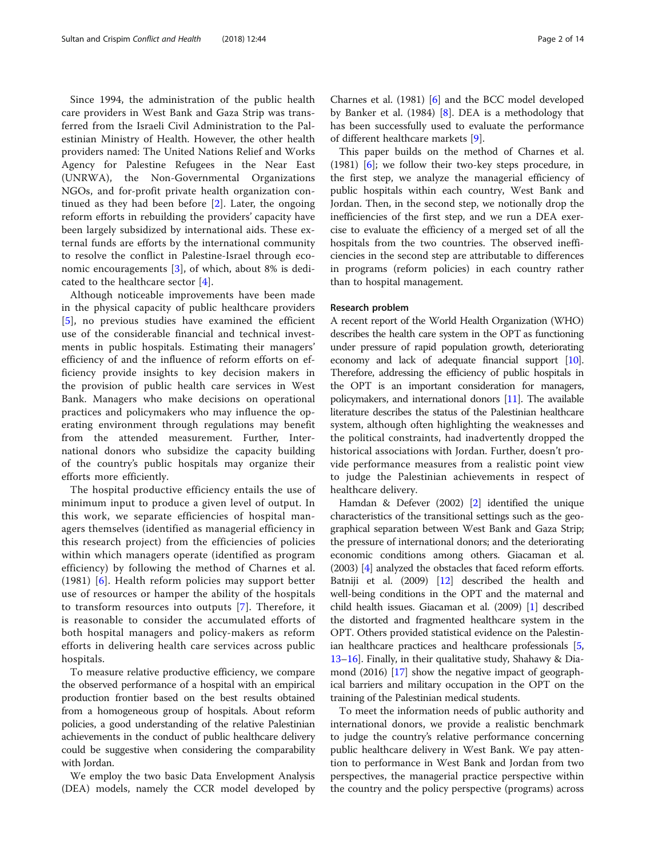Since 1994, the administration of the public health care providers in West Bank and Gaza Strip was transferred from the Israeli Civil Administration to the Palestinian Ministry of Health. However, the other health providers named: The United Nations Relief and Works Agency for Palestine Refugees in the Near East (UNRWA), the Non-Governmental Organizations NGOs, and for-profit private health organization continued as they had been before [[2\]](#page-12-0). Later, the ongoing reform efforts in rebuilding the providers' capacity have been largely subsidized by international aids. These external funds are efforts by the international community to resolve the conflict in Palestine-Israel through economic encouragements [[3\]](#page-12-0), of which, about 8% is dedicated to the healthcare sector [\[4](#page-12-0)].

Although noticeable improvements have been made in the physical capacity of public healthcare providers [[5\]](#page-12-0), no previous studies have examined the efficient use of the considerable financial and technical investments in public hospitals. Estimating their managers' efficiency of and the influence of reform efforts on efficiency provide insights to key decision makers in the provision of public health care services in West Bank. Managers who make decisions on operational practices and policymakers who may influence the operating environment through regulations may benefit from the attended measurement. Further, International donors who subsidize the capacity building of the country's public hospitals may organize their efforts more efficiently.

The hospital productive efficiency entails the use of minimum input to produce a given level of output. In this work, we separate efficiencies of hospital managers themselves (identified as managerial efficiency in this research project) from the efficiencies of policies within which managers operate (identified as program efficiency) by following the method of Charnes et al. (1981) [[6](#page-12-0)]. Health reform policies may support better use of resources or hamper the ability of the hospitals to transform resources into outputs [\[7](#page-12-0)]. Therefore, it is reasonable to consider the accumulated efforts of both hospital managers and policy-makers as reform efforts in delivering health care services across public hospitals.

To measure relative productive efficiency, we compare the observed performance of a hospital with an empirical production frontier based on the best results obtained from a homogeneous group of hospitals. About reform policies, a good understanding of the relative Palestinian achievements in the conduct of public healthcare delivery could be suggestive when considering the comparability with Jordan.

We employ the two basic Data Envelopment Analysis (DEA) models, namely the CCR model developed by

Charnes et al. (1981) [[6\]](#page-12-0) and the BCC model developed by Banker et al. (1984) [[8\]](#page-12-0). DEA is a methodology that has been successfully used to evaluate the performance of different healthcare markets [[9\]](#page-12-0).

This paper builds on the method of Charnes et al. (1981) [\[6](#page-12-0)]; we follow their two-key steps procedure, in the first step, we analyze the managerial efficiency of public hospitals within each country, West Bank and Jordan. Then, in the second step, we notionally drop the inefficiencies of the first step, and we run a DEA exercise to evaluate the efficiency of a merged set of all the hospitals from the two countries. The observed inefficiencies in the second step are attributable to differences in programs (reform policies) in each country rather than to hospital management.

### Research problem

A recent report of the World Health Organization (WHO) describes the health care system in the OPT as functioning under pressure of rapid population growth, deteriorating economy and lack of adequate financial support [\[10](#page-12-0)]. Therefore, addressing the efficiency of public hospitals in the OPT is an important consideration for managers, policymakers, and international donors [[11](#page-12-0)]. The available literature describes the status of the Palestinian healthcare system, although often highlighting the weaknesses and the political constraints, had inadvertently dropped the historical associations with Jordan. Further, doesn't provide performance measures from a realistic point view to judge the Palestinian achievements in respect of healthcare delivery.

Hamdan & Defever (2002) [\[2\]](#page-12-0) identified the unique characteristics of the transitional settings such as the geographical separation between West Bank and Gaza Strip; the pressure of international donors; and the deteriorating economic conditions among others. Giacaman et al. (2003) [\[4\]](#page-12-0) analyzed the obstacles that faced reform efforts. Batniji et al. (2009) [[12](#page-12-0)] described the health and well-being conditions in the OPT and the maternal and child health issues. Giacaman et al. (2009) [\[1](#page-12-0)] described the distorted and fragmented healthcare system in the OPT. Others provided statistical evidence on the Palestinian healthcare practices and healthcare professionals [[5](#page-12-0), [13](#page-12-0)–[16\]](#page-12-0). Finally, in their qualitative study, Shahawy & Diamond (2016) [[17](#page-12-0)] show the negative impact of geographical barriers and military occupation in the OPT on the training of the Palestinian medical students.

To meet the information needs of public authority and international donors, we provide a realistic benchmark to judge the country's relative performance concerning public healthcare delivery in West Bank. We pay attention to performance in West Bank and Jordan from two perspectives, the managerial practice perspective within the country and the policy perspective (programs) across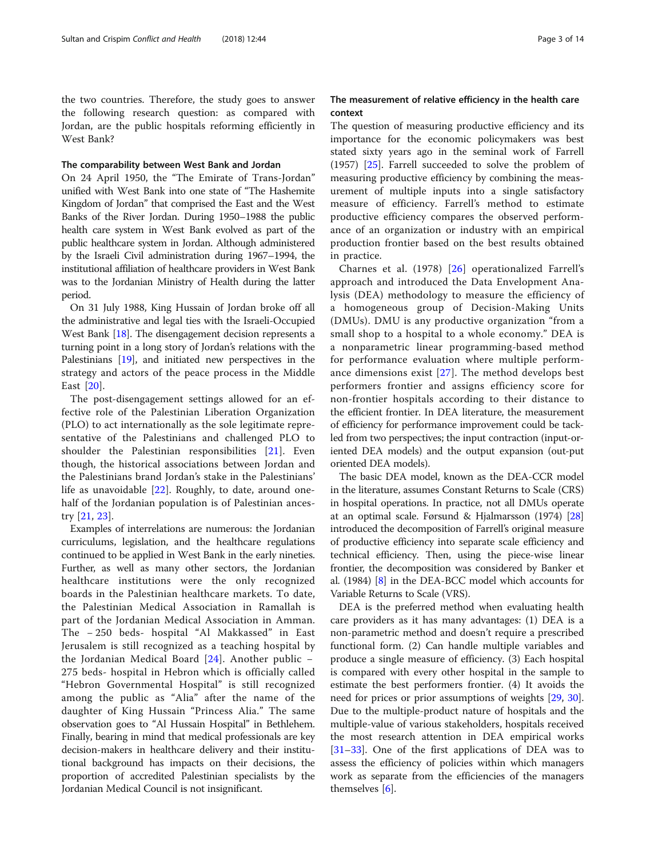the two countries. Therefore, the study goes to answer the following research question: as compared with Jordan, are the public hospitals reforming efficiently in West Bank?

## The comparability between West Bank and Jordan

On 24 April 1950, the "The Emirate of Trans-Jordan" unified with West Bank into one state of "The Hashemite Kingdom of Jordan" that comprised the East and the West Banks of the River Jordan. During 1950–1988 the public health care system in West Bank evolved as part of the public healthcare system in Jordan. Although administered by the Israeli Civil administration during 1967–1994, the institutional affiliation of healthcare providers in West Bank was to the Jordanian Ministry of Health during the latter period.

On 31 July 1988, King Hussain of Jordan broke off all the administrative and legal ties with the Israeli-Occupied West Bank [\[18\]](#page-12-0). The disengagement decision represents a turning point in a long story of Jordan's relations with the Palestinians [[19](#page-12-0)], and initiated new perspectives in the strategy and actors of the peace process in the Middle East [\[20](#page-12-0)].

The post-disengagement settings allowed for an effective role of the Palestinian Liberation Organization (PLO) to act internationally as the sole legitimate representative of the Palestinians and challenged PLO to shoulder the Palestinian responsibilities [\[21](#page-12-0)]. Even though, the historical associations between Jordan and the Palestinians brand Jordan's stake in the Palestinians' life as unavoidable [[22\]](#page-12-0). Roughly, to date, around onehalf of the Jordanian population is of Palestinian ancestry [\[21](#page-12-0), [23\]](#page-12-0).

Examples of interrelations are numerous: the Jordanian curriculums, legislation, and the healthcare regulations continued to be applied in West Bank in the early nineties. Further, as well as many other sectors, the Jordanian healthcare institutions were the only recognized boards in the Palestinian healthcare markets. To date, the Palestinian Medical Association in Ramallah is part of the Jordanian Medical Association in Amman. The − 250 beds- hospital "Al Makkassed" in East Jerusalem is still recognized as a teaching hospital by the Jordanian Medical Board [[24\]](#page-12-0). Another public − 275 beds- hospital in Hebron which is officially called "Hebron Governmental Hospital" is still recognized among the public as "Alia" after the name of the daughter of King Hussain "Princess Alia." The same observation goes to "Al Hussain Hospital" in Bethlehem. Finally, bearing in mind that medical professionals are key decision-makers in healthcare delivery and their institutional background has impacts on their decisions, the proportion of accredited Palestinian specialists by the Jordanian Medical Council is not insignificant.

## The measurement of relative efficiency in the health care context

The question of measuring productive efficiency and its importance for the economic policymakers was best stated sixty years ago in the seminal work of Farrell (1957) [[25](#page-12-0)]. Farrell succeeded to solve the problem of measuring productive efficiency by combining the measurement of multiple inputs into a single satisfactory measure of efficiency. Farrell's method to estimate productive efficiency compares the observed performance of an organization or industry with an empirical production frontier based on the best results obtained in practice.

Charnes et al. (1978) [[26\]](#page-12-0) operationalized Farrell's approach and introduced the Data Envelopment Analysis (DEA) methodology to measure the efficiency of a homogeneous group of Decision-Making Units (DMUs). DMU is any productive organization "from a small shop to a hospital to a whole economy." DEA is a nonparametric linear programming-based method for performance evaluation where multiple performance dimensions exist [[27](#page-12-0)]. The method develops best performers frontier and assigns efficiency score for non-frontier hospitals according to their distance to the efficient frontier. In DEA literature, the measurement of efficiency for performance improvement could be tackled from two perspectives; the input contraction (input-oriented DEA models) and the output expansion (out-put oriented DEA models).

The basic DEA model, known as the DEA-CCR model in the literature, assumes Constant Returns to Scale (CRS) in hospital operations. In practice, not all DMUs operate at an optimal scale. Førsund & Hjalmarsson (1974) [[28](#page-12-0)] introduced the decomposition of Farrell's original measure of productive efficiency into separate scale efficiency and technical efficiency. Then, using the piece-wise linear frontier, the decomposition was considered by Banker et al. (1984) [[8\]](#page-12-0) in the DEA-BCC model which accounts for Variable Returns to Scale (VRS).

DEA is the preferred method when evaluating health care providers as it has many advantages: (1) DEA is a non-parametric method and doesn't require a prescribed functional form. (2) Can handle multiple variables and produce a single measure of efficiency. (3) Each hospital is compared with every other hospital in the sample to estimate the best performers frontier. (4) It avoids the need for prices or prior assumptions of weights [\[29,](#page-12-0) [30](#page-12-0)]. Due to the multiple-product nature of hospitals and the multiple-value of various stakeholders, hospitals received the most research attention in DEA empirical works [[31](#page-12-0)–[33](#page-12-0)]. One of the first applications of DEA was to assess the efficiency of policies within which managers work as separate from the efficiencies of the managers themselves [\[6](#page-12-0)].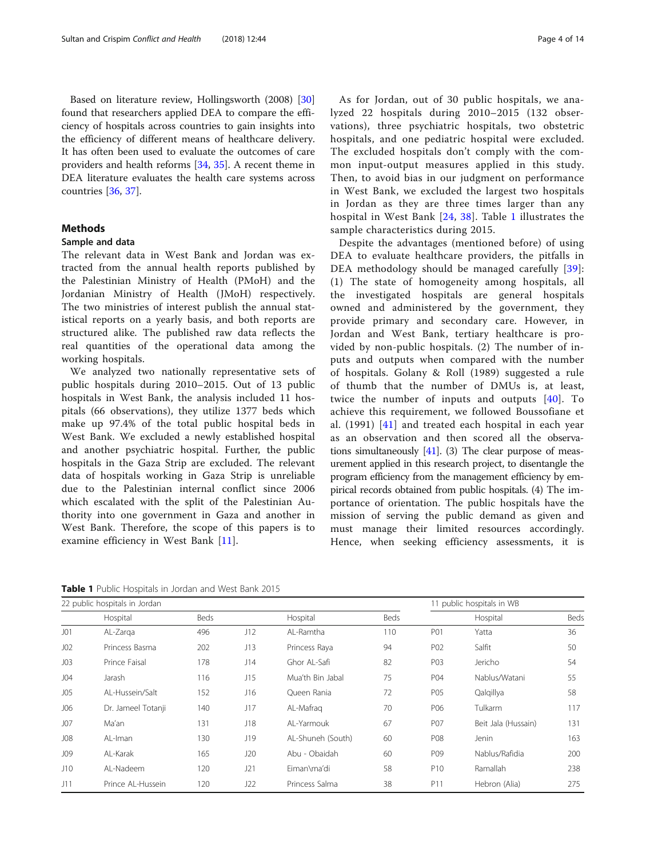Based on literature review, Hollingsworth (2008) [[30](#page-12-0)] found that researchers applied DEA to compare the efficiency of hospitals across countries to gain insights into the efficiency of different means of healthcare delivery. It has often been used to evaluate the outcomes of care providers and health reforms [\[34,](#page-12-0) [35\]](#page-12-0). A recent theme in DEA literature evaluates the health care systems across countries [[36](#page-12-0), [37](#page-12-0)].

## Methods

#### Sample and data

The relevant data in West Bank and Jordan was extracted from the annual health reports published by the Palestinian Ministry of Health (PMoH) and the Jordanian Ministry of Health (JMoH) respectively. The two ministries of interest publish the annual statistical reports on a yearly basis, and both reports are structured alike. The published raw data reflects the real quantities of the operational data among the working hospitals.

We analyzed two nationally representative sets of public hospitals during 2010–2015. Out of 13 public hospitals in West Bank, the analysis included 11 hospitals (66 observations), they utilize 1377 beds which make up 97.4% of the total public hospital beds in West Bank. We excluded a newly established hospital and another psychiatric hospital. Further, the public hospitals in the Gaza Strip are excluded. The relevant data of hospitals working in Gaza Strip is unreliable due to the Palestinian internal conflict since 2006 which escalated with the split of the Palestinian Authority into one government in Gaza and another in West Bank. Therefore, the scope of this papers is to examine efficiency in West Bank [\[11](#page-12-0)].

Table 1 Public Hospitals in Jordan and West Bank 2015

As for Jordan, out of 30 public hospitals, we analyzed 22 hospitals during 2010–2015 (132 observations), three psychiatric hospitals, two obstetric hospitals, and one pediatric hospital were excluded. The excluded hospitals don't comply with the common input-output measures applied in this study. Then, to avoid bias in our judgment on performance in West Bank, we excluded the largest two hospitals in Jordan as they are three times larger than any hospital in West Bank [\[24,](#page-12-0) [38\]](#page-12-0). Table 1 illustrates the sample characteristics during 2015.

Despite the advantages (mentioned before) of using DEA to evaluate healthcare providers, the pitfalls in DEA methodology should be managed carefully [[39](#page-12-0)]: (1) The state of homogeneity among hospitals, all the investigated hospitals are general hospitals owned and administered by the government, they provide primary and secondary care. However, in Jordan and West Bank, tertiary healthcare is provided by non-public hospitals. (2) The number of inputs and outputs when compared with the number of hospitals. Golany & Roll (1989) suggested a rule of thumb that the number of DMUs is, at least, twice the number of inputs and outputs [[40\]](#page-12-0). To achieve this requirement, we followed Boussofiane et al. (1991) [[41](#page-12-0)] and treated each hospital in each year as an observation and then scored all the observations simultaneously  $[41]$  $[41]$ . (3) The clear purpose of measurement applied in this research project, to disentangle the program efficiency from the management efficiency by empirical records obtained from public hospitals. (4) The importance of orientation. The public hospitals have the mission of serving the public demand as given and must manage their limited resources accordingly. Hence, when seeking efficiency assessments, it is

|                 | 22 public hospitals in Jordan |      |     |                   |      | 11 public hospitals in WB |                     |      |  |
|-----------------|-------------------------------|------|-----|-------------------|------|---------------------------|---------------------|------|--|
|                 | Hospital                      | Beds |     | Hospital          | Beds |                           | Hospital            | Beds |  |
| J <sub>01</sub> | AL-Zarga                      | 496  | J12 | AL-Ramtha         | 110  | P01                       | Yatta               | 36   |  |
| J <sub>02</sub> | Princess Basma                | 202  | J13 | Princess Raya     | 94   | P02                       | Salfit              | 50   |  |
| J <sub>03</sub> | Prince Faisal                 | 178  | J14 | Ghor Al-Safi      | 82   | P03                       | Jericho             | 54   |  |
| J04             | Jarash                        | 116  | J15 | Mua'th Bin Jabal  | 75   | P04                       | Nablus/Watani       | 55   |  |
| J05             | Al-Hussein/Salt               | 152  | J16 | Oueen Rania       | 72   | P05                       | Qalqillya           | 58   |  |
| J06             | Dr. Jameel Totanji            | 140  | J17 | AL-Mafrag         | 70   | P06                       | Tulkarm             | 117  |  |
| J07             | Ma'an                         | 131  | J18 | Al-Yarmouk        | 67   | P07                       | Beit Jala (Hussain) | 131  |  |
| J08             | AL-Iman                       | 130  | J19 | AL-Shuneh (South) | 60   | P08                       | Jenin               | 163  |  |
| J09             | AL-Karak                      | 165  | J20 | Abu - Obaidah     | 60   | P09                       | Nablus/Rafidia      | 200  |  |
| J10             | AL-Nadeem                     | 120  | J21 | Eiman\ma'di       | 58   | P <sub>10</sub>           | Ramallah            | 238  |  |
| J11             | Prince AI-Hussein             | 120  | J22 | Princess Salma    | 38   | P11                       | Hebron (Alia)       | 275  |  |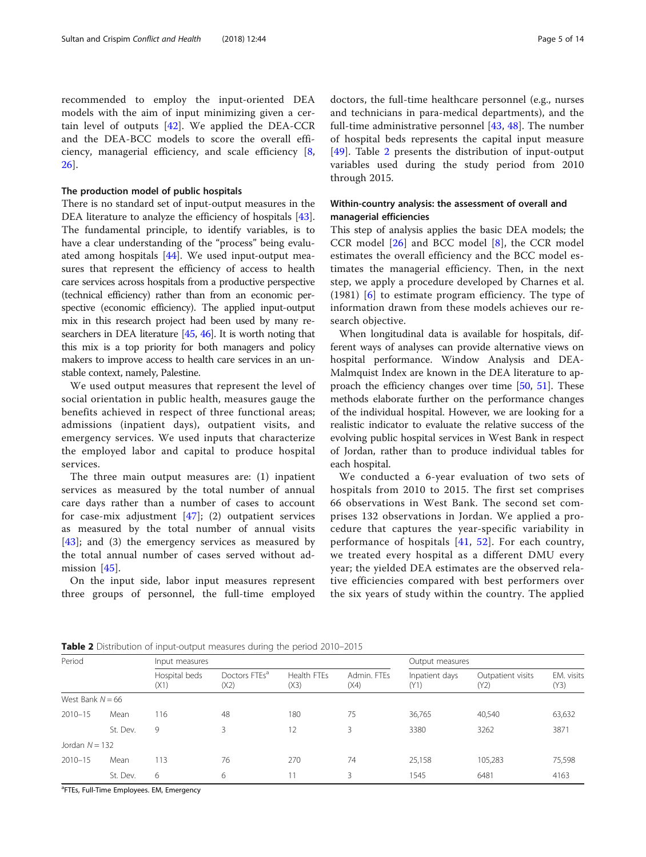recommended to employ the input-oriented DEA models with the aim of input minimizing given a certain level of outputs [\[42](#page-12-0)]. We applied the DEA-CCR and the DEA-BCC models to score the overall efficiency, managerial efficiency, and scale efficiency [\[8](#page-12-0), [26\]](#page-12-0).

## The production model of public hospitals

There is no standard set of input-output measures in the DEA literature to analyze the efficiency of hospitals [\[43](#page-12-0)]. The fundamental principle, to identify variables, is to have a clear understanding of the "process" being evaluated among hospitals [\[44\]](#page-12-0). We used input-output measures that represent the efficiency of access to health care services across hospitals from a productive perspective (technical efficiency) rather than from an economic perspective (economic efficiency). The applied input-output mix in this research project had been used by many researchers in DEA literature [\[45,](#page-12-0) [46](#page-12-0)]. It is worth noting that this mix is a top priority for both managers and policy makers to improve access to health care services in an unstable context, namely, Palestine.

We used output measures that represent the level of social orientation in public health, measures gauge the benefits achieved in respect of three functional areas; admissions (inpatient days), outpatient visits, and emergency services. We used inputs that characterize the employed labor and capital to produce hospital services.

The three main output measures are: (1) inpatient services as measured by the total number of annual care days rather than a number of cases to account for case-mix adjustment  $[47]$  $[47]$ ; (2) outpatient services as measured by the total number of annual visits  $[43]$  $[43]$ ; and (3) the emergency services as measured by the total annual number of cases served without admission  $[45]$  $[45]$ .

On the input side, labor input measures represent three groups of personnel, the full-time employed doctors, the full-time healthcare personnel (e.g., nurses and technicians in para-medical departments), and the full-time administrative personnel [[43,](#page-12-0) [48](#page-13-0)]. The number of hospital beds represents the capital input measure [[49\]](#page-13-0). Table 2 presents the distribution of input-output variables used during the study period from 2010 through 2015.

## Within-country analysis: the assessment of overall and managerial efficiencies

This step of analysis applies the basic DEA models; the CCR model [[26](#page-12-0)] and BCC model [[8\]](#page-12-0), the CCR model estimates the overall efficiency and the BCC model estimates the managerial efficiency. Then, in the next step, we apply a procedure developed by Charnes et al. (1981) [[6\]](#page-12-0) to estimate program efficiency. The type of information drawn from these models achieves our research objective.

When longitudinal data is available for hospitals, different ways of analyses can provide alternative views on hospital performance. Window Analysis and DEA-Malmquist Index are known in the DEA literature to approach the efficiency changes over time [\[50](#page-13-0), [51\]](#page-13-0). These methods elaborate further on the performance changes of the individual hospital. However, we are looking for a realistic indicator to evaluate the relative success of the evolving public hospital services in West Bank in respect of Jordan, rather than to produce individual tables for each hospital.

We conducted a 6-year evaluation of two sets of hospitals from 2010 to 2015. The first set comprises 66 observations in West Bank. The second set comprises 132 observations in Jordan. We applied a procedure that captures the year-specific variability in performance of hospitals [[41,](#page-12-0) [52](#page-13-0)]. For each country, we treated every hospital as a different DMU every year; the yielded DEA estimates are the observed relative efficiencies compared with best performers over the six years of study within the country. The applied

**Table 2** Distribution of input-output measures during the period 2010–2015

| Period             |                       | Input measures |                                   | Output measures     |                     |                        |                           |                    |
|--------------------|-----------------------|----------------|-----------------------------------|---------------------|---------------------|------------------------|---------------------------|--------------------|
|                    | Hospital beds<br>(X1) |                | Doctors FTEs <sup>a</sup><br>(X2) | Health FTEs<br>(X3) | Admin, FTEs<br>(X4) | Inpatient days<br>(Y1) | Outpatient visits<br>(Y2) | EM. visits<br>(Y3) |
| West Bank $N = 66$ |                       |                |                                   |                     |                     |                        |                           |                    |
| $2010 - 15$        | Mean                  | 116            | 48                                | 180                 | 75                  | 36,765                 | 40,540                    | 63,632             |
|                    | St. Dev.              | 9              | 3                                 | 12                  | 3                   | 3380                   | 3262                      | 3871               |
| Jordan $N = 132$   |                       |                |                                   |                     |                     |                        |                           |                    |
| $2010 - 15$        | Mean                  | 113            | 76                                | 270                 | 74                  | 25,158                 | 105,283                   | 75,598             |
|                    | St. Dev.              | 6              | 6                                 | 11                  | 3                   | 1545                   | 6481                      | 4163               |

<sup>a</sup>FTEs, Full-Time Employees. EM, Emergency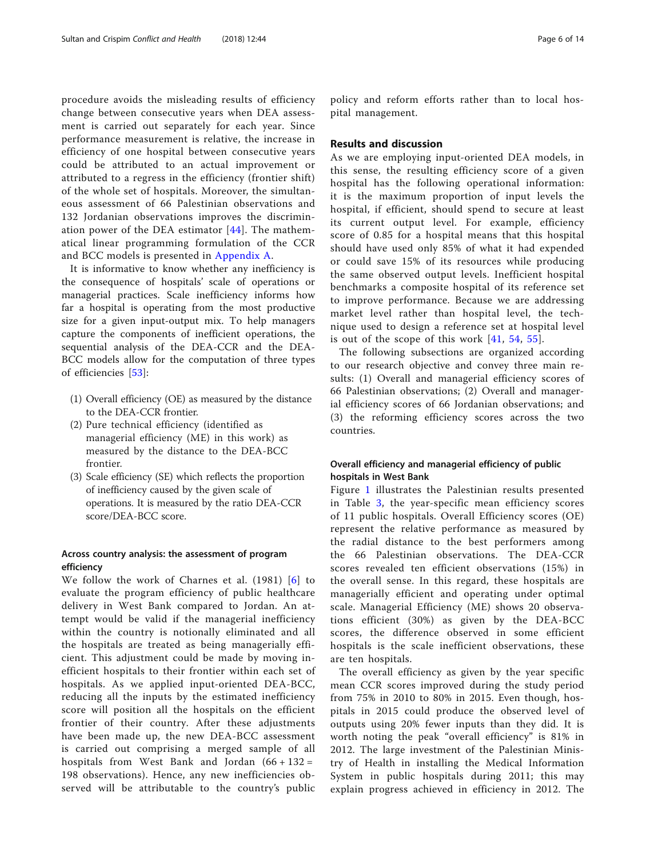procedure avoids the misleading results of efficiency change between consecutive years when DEA assessment is carried out separately for each year. Since performance measurement is relative, the increase in efficiency of one hospital between consecutive years could be attributed to an actual improvement or attributed to a regress in the efficiency (frontier shift) of the whole set of hospitals. Moreover, the simultaneous assessment of 66 Palestinian observations and 132 Jordanian observations improves the discrimination power of the DEA estimator [[44](#page-12-0)]. The mathematical linear programming formulation of the CCR and BCC models is presented in [Appendix A](#page-9-0).

It is informative to know whether any inefficiency is the consequence of hospitals' scale of operations or managerial practices. Scale inefficiency informs how far a hospital is operating from the most productive size for a given input-output mix. To help managers capture the components of inefficient operations, the sequential analysis of the DEA-CCR and the DEA-BCC models allow for the computation of three types of efficiencies [[53\]](#page-13-0):

- (1) Overall efficiency (OE) as measured by the distance to the DEA-CCR frontier.
- (2) Pure technical efficiency (identified as managerial efficiency (ME) in this work) as measured by the distance to the DEA-BCC frontier.
- (3) Scale efficiency (SE) which reflects the proportion of inefficiency caused by the given scale of operations. It is measured by the ratio DEA-CCR score/DEA-BCC score.

## Across country analysis: the assessment of program efficiency

We follow the work of Charnes et al. (1981) [[6\]](#page-12-0) to evaluate the program efficiency of public healthcare delivery in West Bank compared to Jordan. An attempt would be valid if the managerial inefficiency within the country is notionally eliminated and all the hospitals are treated as being managerially efficient. This adjustment could be made by moving inefficient hospitals to their frontier within each set of hospitals. As we applied input-oriented DEA-BCC, reducing all the inputs by the estimated inefficiency score will position all the hospitals on the efficient frontier of their country. After these adjustments have been made up, the new DEA-BCC assessment is carried out comprising a merged sample of all hospitals from West Bank and Jordan  $(66 + 132)$ 198 observations). Hence, any new inefficiencies observed will be attributable to the country's public

policy and reform efforts rather than to local hospital management.

## Results and discussion

As we are employing input-oriented DEA models, in this sense, the resulting efficiency score of a given hospital has the following operational information: it is the maximum proportion of input levels the hospital, if efficient, should spend to secure at least its current output level. For example, efficiency score of 0.85 for a hospital means that this hospital should have used only 85% of what it had expended or could save 15% of its resources while producing the same observed output levels. Inefficient hospital benchmarks a composite hospital of its reference set to improve performance. Because we are addressing market level rather than hospital level, the technique used to design a reference set at hospital level is out of the scope of this work [[41](#page-12-0), [54,](#page-13-0) [55](#page-13-0)].

The following subsections are organized according to our research objective and convey three main results: (1) Overall and managerial efficiency scores of 66 Palestinian observations; (2) Overall and managerial efficiency scores of 66 Jordanian observations; and (3) the reforming efficiency scores across the two countries.

## Overall efficiency and managerial efficiency of public hospitals in West Bank

Figure [1](#page-6-0) illustrates the Palestinian results presented in Table [3](#page-6-0), the year-specific mean efficiency scores of 11 public hospitals. Overall Efficiency scores (OE) represent the relative performance as measured by the radial distance to the best performers among the 66 Palestinian observations. The DEA-CCR scores revealed ten efficient observations (15%) in the overall sense. In this regard, these hospitals are managerially efficient and operating under optimal scale. Managerial Efficiency (ME) shows 20 observations efficient (30%) as given by the DEA-BCC scores, the difference observed in some efficient hospitals is the scale inefficient observations, these are ten hospitals.

The overall efficiency as given by the year specific mean CCR scores improved during the study period from 75% in 2010 to 80% in 2015. Even though, hospitals in 2015 could produce the observed level of outputs using 20% fewer inputs than they did. It is worth noting the peak "overall efficiency" is 81% in 2012. The large investment of the Palestinian Ministry of Health in installing the Medical Information System in public hospitals during 2011; this may explain progress achieved in efficiency in 2012. The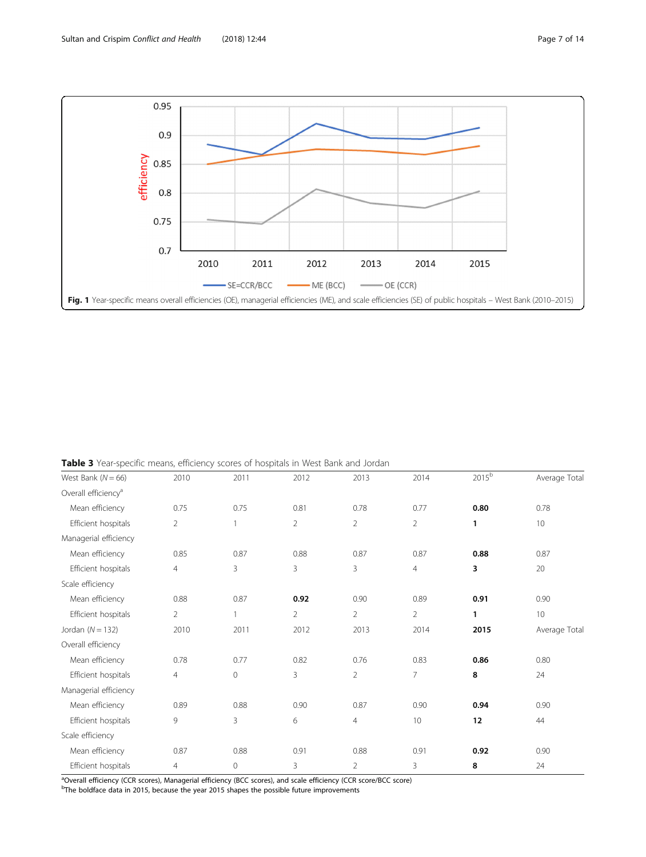<span id="page-6-0"></span>

Table 3 Year-specific means, efficiency scores of hospitals in West Bank and Jordan

| West Bank ( $N = 66$ )          | 2010           | 2011         | 2012           | 2013           | 2014           | 2015 <sup>b</sup> | Average Total |
|---------------------------------|----------------|--------------|----------------|----------------|----------------|-------------------|---------------|
| Overall efficiency <sup>a</sup> |                |              |                |                |                |                   |               |
| Mean efficiency                 | 0.75           | 0.75         | 0.81           | 0.78           | 0.77           | 0.80              | 0.78          |
| Efficient hospitals             | $\overline{2}$ |              | $\overline{2}$ | $\overline{2}$ | $\overline{2}$ | 1                 | 10            |
| Managerial efficiency           |                |              |                |                |                |                   |               |
| Mean efficiency                 | 0.85           | 0.87         | 0.88           | 0.87           | 0.87           | 0.88              | 0.87          |
| Efficient hospitals             | $\overline{4}$ | 3            | 3              | 3              | $\overline{4}$ | 3                 | 20            |
| Scale efficiency                |                |              |                |                |                |                   |               |
| Mean efficiency                 | 0.88           | 0.87         | 0.92           | 0.90           | 0.89           | 0.91              | 0.90          |
| Efficient hospitals             | $\overline{2}$ | $\mathbf{1}$ | $\overline{2}$ | $\overline{2}$ | $\overline{2}$ | 1                 | 10            |
| Jordan $(N = 132)$              | 2010           | 2011         | 2012           | 2013           | 2014           | 2015              | Average Total |
| Overall efficiency              |                |              |                |                |                |                   |               |
| Mean efficiency                 | 0.78           | 0.77         | 0.82           | 0.76           | 0.83           | 0.86              | 0.80          |
| Efficient hospitals             | $\overline{4}$ | $\mathbf{0}$ | 3              | $\overline{2}$ | $\overline{7}$ | 8                 | 24            |
| Managerial efficiency           |                |              |                |                |                |                   |               |
| Mean efficiency                 | 0.89           | 0.88         | 0.90           | 0.87           | 0.90           | 0.94              | 0.90          |
| Efficient hospitals             | 9              | 3            | 6              | $\overline{4}$ | 10             | 12 <sub>2</sub>   | 44            |
| Scale efficiency                |                |              |                |                |                |                   |               |
| Mean efficiency                 | 0.87           | 0.88         | 0.91           | 0.88           | 0.91           | 0.92              | 0.90          |
| Efficient hospitals             | $\overline{4}$ | $\mathbf 0$  | 3              | $\overline{2}$ | 3              | 8                 | 24            |
|                                 |                |              |                |                |                |                   |               |

<sup>a</sup>Overall efficiency (CCR scores), Managerial efficiency (BCC scores), and scale efficiency (CCR score/BCC score)

<sup>b</sup>The boldface data in 2015, because the year 2015 shapes the possible future improvements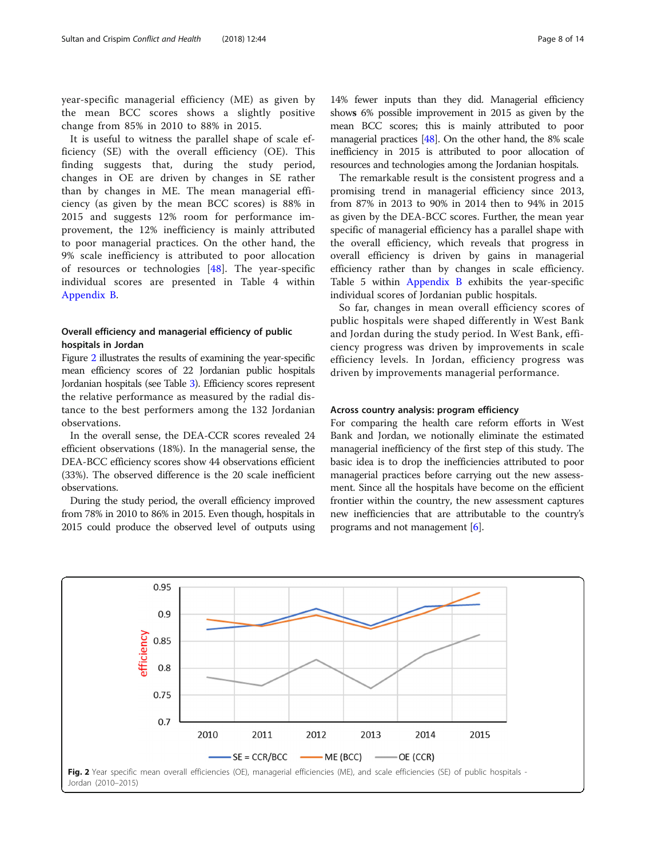year-specific managerial efficiency (ME) as given by the mean BCC scores shows a slightly positive change from 85% in 2010 to 88% in 2015.

It is useful to witness the parallel shape of scale efficiency (SE) with the overall efficiency (OE). This finding suggests that, during the study period, changes in OE are driven by changes in SE rather than by changes in ME. The mean managerial efficiency (as given by the mean BCC scores) is 88% in 2015 and suggests 12% room for performance improvement, the 12% inefficiency is mainly attributed to poor managerial practices. On the other hand, the 9% scale inefficiency is attributed to poor allocation of resources or technologies [\[48](#page-13-0)]. The year-specific individual scores are presented in Table 4 within [Appendix B](#page-10-0).

## Overall efficiency and managerial efficiency of public hospitals in Jordan

Figure 2 illustrates the results of examining the year-specific mean efficiency scores of 22 Jordanian public hospitals Jordanian hospitals (see Table [3\)](#page-6-0). Efficiency scores represent the relative performance as measured by the radial distance to the best performers among the 132 Jordanian observations.

In the overall sense, the DEA-CCR scores revealed 24 efficient observations (18%). In the managerial sense, the DEA-BCC efficiency scores show 44 observations efficient (33%). The observed difference is the 20 scale inefficient observations.

During the study period, the overall efficiency improved from 78% in 2010 to 86% in 2015. Even though, hospitals in 2015 could produce the observed level of outputs using 14% fewer inputs than they did. Managerial efficiency shows 6% possible improvement in 2015 as given by the mean BCC scores; this is mainly attributed to poor managerial practices [\[48\]](#page-13-0). On the other hand, the 8% scale inefficiency in 2015 is attributed to poor allocation of resources and technologies among the Jordanian hospitals.

The remarkable result is the consistent progress and a promising trend in managerial efficiency since 2013, from 87% in 2013 to 90% in 2014 then to 94% in 2015 as given by the DEA-BCC scores. Further, the mean year specific of managerial efficiency has a parallel shape with the overall efficiency, which reveals that progress in overall efficiency is driven by gains in managerial efficiency rather than by changes in scale efficiency. Table 5 within [Appendix B](#page-10-0) exhibits the year-specific individual scores of Jordanian public hospitals.

So far, changes in mean overall efficiency scores of public hospitals were shaped differently in West Bank and Jordan during the study period. In West Bank, efficiency progress was driven by improvements in scale efficiency levels. In Jordan, efficiency progress was driven by improvements managerial performance.

## Across country analysis: program efficiency

For comparing the health care reform efforts in West Bank and Jordan, we notionally eliminate the estimated managerial inefficiency of the first step of this study. The basic idea is to drop the inefficiencies attributed to poor managerial practices before carrying out the new assessment. Since all the hospitals have become on the efficient frontier within the country, the new assessment captures new inefficiencies that are attributable to the country's programs and not management [\[6](#page-12-0)].

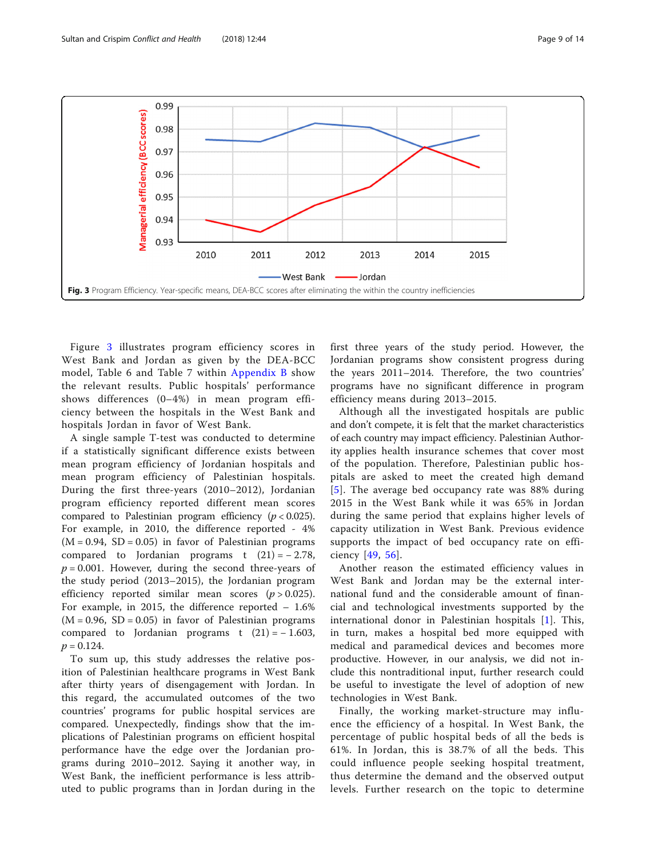

Figure 3 illustrates program efficiency scores in West Bank and Jordan as given by the DEA-BCC model, Table 6 and Table 7 within [Appendix B](#page-10-0) show the relevant results. Public hospitals' performance shows differences (0–4%) in mean program efficiency between the hospitals in the West Bank and hospitals Jordan in favor of West Bank.

A single sample T-test was conducted to determine if a statistically significant difference exists between mean program efficiency of Jordanian hospitals and mean program efficiency of Palestinian hospitals. During the first three-years (2010–2012), Jordanian program efficiency reported different mean scores compared to Palestinian program efficiency ( $p < 0.025$ ). For example, in 2010, the difference reported - 4%  $(M = 0.94, SD = 0.05)$  in favor of Palestinian programs compared to Jordanian programs t  $(21) = -2.78$ ,  $p = 0.001$ . However, during the second three-years of the study period (2013–2015), the Jordanian program efficiency reported similar mean scores  $(p > 0.025)$ . For example, in 2015, the difference reported – 1.6%  $(M = 0.96, SD = 0.05)$  in favor of Palestinian programs compared to Jordanian programs t  $(21) = -1.603$ ,  $p = 0.124.$ 

To sum up, this study addresses the relative position of Palestinian healthcare programs in West Bank after thirty years of disengagement with Jordan. In this regard, the accumulated outcomes of the two countries' programs for public hospital services are compared. Unexpectedly, findings show that the implications of Palestinian programs on efficient hospital performance have the edge over the Jordanian programs during 2010–2012. Saying it another way, in West Bank, the inefficient performance is less attributed to public programs than in Jordan during in the first three years of the study period. However, the Jordanian programs show consistent progress during the years 2011–2014. Therefore, the two countries' programs have no significant difference in program efficiency means during 2013–2015.

Although all the investigated hospitals are public and don't compete, it is felt that the market characteristics of each country may impact efficiency. Palestinian Authority applies health insurance schemes that cover most of the population. Therefore, Palestinian public hospitals are asked to meet the created high demand [[5](#page-12-0)]. The average bed occupancy rate was 88% during 2015 in the West Bank while it was 65% in Jordan during the same period that explains higher levels of capacity utilization in West Bank. Previous evidence supports the impact of bed occupancy rate on efficiency [[49,](#page-13-0) [56](#page-13-0)].

Another reason the estimated efficiency values in West Bank and Jordan may be the external international fund and the considerable amount of financial and technological investments supported by the international donor in Palestinian hospitals [\[1](#page-12-0)]. This, in turn, makes a hospital bed more equipped with medical and paramedical devices and becomes more productive. However, in our analysis, we did not include this nontraditional input, further research could be useful to investigate the level of adoption of new technologies in West Bank.

Finally, the working market-structure may influence the efficiency of a hospital. In West Bank, the percentage of public hospital beds of all the beds is 61%. In Jordan, this is 38.7% of all the beds. This could influence people seeking hospital treatment, thus determine the demand and the observed output levels. Further research on the topic to determine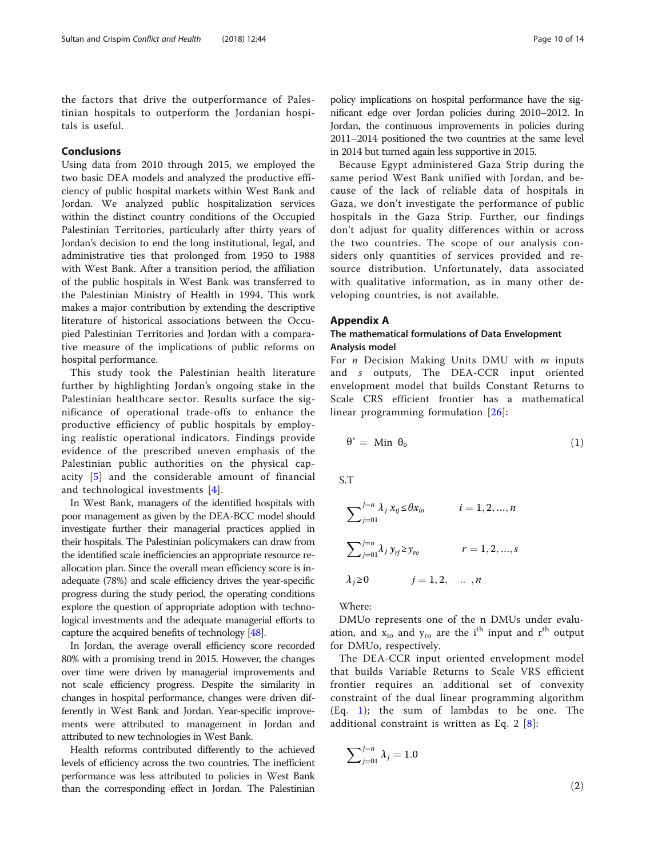<span id="page-9-0"></span>the factors that drive the outperformance of Palestinian hospitals to outperform the Jordanian hospitals is useful.

## Conclusions

Using data from 2010 through 2015, we employed the two basic DEA models and analyzed the productive efficiency of public hospital markets within West Bank and Jordan. We analyzed public hospitalization services within the distinct country conditions of the Occupied Palestinian Territories, particularly after thirty years of Jordan's decision to end the long institutional, legal, and administrative ties that prolonged from 1950 to 1988 with West Bank. After a transition period, the affiliation of the public hospitals in West Bank was transferred to the Palestinian Ministry of Health in 1994. This work makes a major contribution by extending the descriptive literature of historical associations between the Occupied Palestinian Territories and Jordan with a comparative measure of the implications of public reforms on hospital performance.

This study took the Palestinian health literature further by highlighting Jordan's ongoing stake in the Palestinian healthcare sector. Results surface the significance of operational trade-offs to enhance the productive efficiency of public hospitals by employing realistic operational indicators. Findings provide evidence of the prescribed uneven emphasis of the Palestinian public authorities on the physical capacity [[5](#page-12-0)] and the considerable amount of financial and technological investments [[4](#page-12-0)].

In West Bank, managers of the identified hospitals with poor management as given by the DEA-BCC model should investigate further their managerial practices applied in their hospitals. The Palestinian policymakers can draw from the identified scale inefficiencies an appropriate resource reallocation plan. Since the overall mean efficiency score is inadequate (78%) and scale efficiency drives the year-specific progress during the study period, the operating conditions explore the question of appropriate adoption with technological investments and the adequate managerial efforts to capture the acquired benefits of technology [\[48](#page-13-0)].

In Jordan, the average overall efficiency score recorded 80% with a promising trend in 2015. However, the changes over time were driven by managerial improvements and not scale efficiency progress. Despite the similarity in changes in hospital performance, changes were driven differently in West Bank and Jordan. Year-specific improvements were attributed to management in Jordan and attributed to new technologies in West Bank.

Health reforms contributed differently to the achieved levels of efficiency across the two countries. The inefficient performance was less attributed to policies in West Bank than the corresponding effect in Jordan. The Palestinian

policy implications on hospital performance have the significant edge over Jordan policies during 2010–2012. In Jordan, the continuous improvements in policies during 2011–2014 positioned the two countries at the same level in 2014 but turned again less supportive in 2015.

Because Egypt administered Gaza Strip during the same period West Bank unified with Jordan, and because of the lack of reliable data of hospitals in Gaza, we don't investigate the performance of public hospitals in the Gaza Strip. Further, our findings don't adjust for quality differences within or across the two countries. The scope of our analysis considers only quantities of services provided and resource distribution. Unfortunately, data associated with qualitative information, as in many other developing countries, is not available.

#### Appendix A

## The mathematical formulations of Data Envelopment Analysis model

For  $n$  Decision Making Units DMU with  $m$  inputs and s outputs, The DEA-CCR input oriented envelopment model that builds Constant Returns to Scale CRS efficient frontier has a mathematical linear programming formulation [[26](#page-12-0)]:

$$
\theta^* = \text{ Min } \theta_o \tag{1}
$$

S.T

$$
\sum_{j=01}^{j=n} \lambda_j x_{ij} \le \theta x_{io} \qquad i = 1, 2, ..., n
$$
  

$$
\sum_{j=01}^{j=n} \lambda_j y_{ij} \ge y_{ro} \qquad r = 1, 2, ..., s
$$
  

$$
\lambda_j \ge 0 \qquad j = 1, 2, ..., n
$$

Where:

DMUo represents one of the n DMUs under evaluation, and  $x_{io}$  and  $y_{ro}$  are the i<sup>th</sup> input and r<sup>th</sup> output for DMUo, respectively.

The DEA-CCR input oriented envelopment model that builds Variable Returns to Scale VRS efficient frontier requires an additional set of convexity constraint of the dual linear programming algorithm (Eq. 1); the sum of lambdas to be one. The additional constraint is written as Eq. 2  $[8]$  $[8]$  $[8]$ :

$$
\sum_{j=01}^{j=n} \lambda_j = 1.0
$$
\n(2)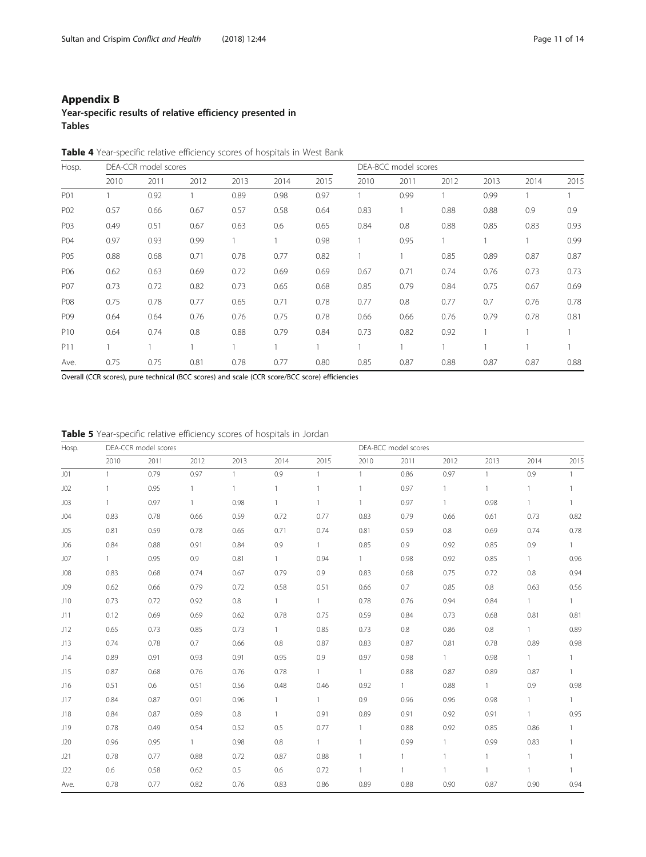## <span id="page-10-0"></span>Appendix B

Year-specific results of relative efficiency presented in Tables

|  |  | <b>Table 4</b> Year-specific relative efficiency scores of hospitals in West Bank |  |  |
|--|--|-----------------------------------------------------------------------------------|--|--|
|--|--|-----------------------------------------------------------------------------------|--|--|

| Hosp.           |      | DEA-CCR model scores |      |      |      | DEA-BCC model scores |      |      |      |      |      |      |
|-----------------|------|----------------------|------|------|------|----------------------|------|------|------|------|------|------|
|                 | 2010 | 2011                 | 2012 | 2013 | 2014 | 2015                 | 2010 | 2011 | 2012 | 2013 | 2014 | 2015 |
| P01             |      | 0.92                 |      | 0.89 | 0.98 | 0.97                 |      | 0.99 |      | 0.99 |      |      |
| P <sub>02</sub> | 0.57 | 0.66                 | 0.67 | 0.57 | 0.58 | 0.64                 | 0.83 |      | 0.88 | 0.88 | 0.9  | 0.9  |
| P03             | 0.49 | 0.51                 | 0.67 | 0.63 | 0.6  | 0.65                 | 0.84 | 0.8  | 0.88 | 0.85 | 0.83 | 0.93 |
| P04             | 0.97 | 0.93                 | 0.99 | 1    |      | 0.98                 |      | 0.95 |      |      |      | 0.99 |
| P05             | 0.88 | 0.68                 | 0.71 | 0.78 | 0.77 | 0.82                 |      |      | 0.85 | 0.89 | 0.87 | 0.87 |
| P06             | 0.62 | 0.63                 | 0.69 | 0.72 | 0.69 | 0.69                 | 0.67 | 0.71 | 0.74 | 0.76 | 0.73 | 0.73 |
| P07             | 0.73 | 0.72                 | 0.82 | 0.73 | 0.65 | 0.68                 | 0.85 | 0.79 | 0.84 | 0.75 | 0.67 | 0.69 |
| <b>P08</b>      | 0.75 | 0.78                 | 0.77 | 0.65 | 0.71 | 0.78                 | 0.77 | 0.8  | 0.77 | 0.7  | 0.76 | 0.78 |
| P09             | 0.64 | 0.64                 | 0.76 | 0.76 | 0.75 | 0.78                 | 0.66 | 0.66 | 0.76 | 0.79 | 0.78 | 0.81 |
| P <sub>10</sub> | 0.64 | 0.74                 | 0.8  | 0.88 | 0.79 | 0.84                 | 0.73 | 0.82 | 0.92 |      |      |      |
| P11             |      |                      |      |      |      |                      |      |      |      |      |      |      |
| Ave.            | 0.75 | 0.75                 | 0.81 | 0.78 | 0.77 | 0.80                 | 0.85 | 0.87 | 0.88 | 0.87 | 0.87 | 0.88 |

Overall (CCR scores), pure technical (BCC scores) and scale (CCR score/BCC score) efficiencies

Table 5 Year-specific relative efficiency scores of hospitals in Jordan

| Hosp.           |              | DEA-CCR model scores |              |              |              |              | DEA-BCC model scores |              |              |              |              |                |
|-----------------|--------------|----------------------|--------------|--------------|--------------|--------------|----------------------|--------------|--------------|--------------|--------------|----------------|
|                 | 2010         | 2011                 | 2012         | 2013         | 2014         | 2015         | 2010                 | 2011         | 2012         | 2013         | 2014         | 2015           |
| J <sub>01</sub> | $\mathbf{1}$ | 0.79                 | 0.97         | $\mathbf{1}$ | 0.9          | $\mathbf{1}$ | $\mathbf{1}$         | 0.86         | 0.97         | $\mathbf{1}$ | 0.9          | $\mathbf{1}$   |
| J02             | $\mathbf{1}$ | 0.95                 | $\mathbf{1}$ | $\mathbf{1}$ |              |              | $\mathbf{1}$         | 0.97         | $\mathbf{1}$ | $\mathbf{1}$ | $\mathbf{1}$ | $\mathbf{1}$   |
| J <sub>03</sub> | $\mathbf{1}$ | 0.97                 | $\mathbf{1}$ | 0.98         |              |              | $\mathbf{1}$         | 0.97         | $\mathbf{1}$ | 0.98         | $\mathbf{1}$ |                |
| J04             | 0.83         | 0.78                 | 0.66         | 0.59         | 0.72         | 0.77         | 0.83                 | 0.79         | 0.66         | 0.61         | 0.73         | 0.82           |
| J05             | 0.81         | 0.59                 | 0.78         | 0.65         | 0.71         | 0.74         | 0.81                 | 0.59         | 0.8          | 0.69         | 0.74         | 0.78           |
| <b>JO6</b>      | 0.84         | 0.88                 | 0.91         | 0.84         | 0.9          | $\mathbf{1}$ | 0.85                 | 0.9          | 0.92         | 0.85         | 0.9          | $\mathbf{1}$   |
| J07             | $\mathbf{1}$ | 0.95                 | 0.9          | 0.81         | $\mathbf{1}$ | 0.94         | $\mathbf{1}$         | 0.98         | 0.92         | 0.85         | $\mathbf{1}$ | 0.96           |
| <b>J08</b>      | 0.83         | 0.68                 | 0.74         | 0.67         | 0.79         | 0.9          | 0.83                 | 0.68         | 0.75         | 0.72         | 0.8          | 0.94           |
| <b>J09</b>      | 0.62         | 0.66                 | 0.79         | 0.72         | 0.58         | 0.51         | 0.66                 | 0.7          | 0.85         | 0.8          | 0.63         | 0.56           |
| J10             | 0.73         | 0.72                 | 0.92         | 0.8          | $\mathbf{1}$ | $\mathbf{1}$ | 0.78                 | 0.76         | 0.94         | 0.84         | $\mathbf{1}$ | $\mathbf{1}$   |
| J11             | 0.12         | 0.69                 | 0.69         | 0.62         | 0.78         | 0.75         | 0.59                 | 0.84         | 0.73         | 0.68         | 0.81         | 0.81           |
| J12             | 0.65         | 0.73                 | 0.85         | 0.73         | $\mathbf{1}$ | 0.85         | 0.73                 | 0.8          | 0.86         | 0.8          | $\mathbf{1}$ | 0.89           |
| J13             | 0.74         | 0.78                 | 0.7          | 0.66         | 0.8          | 0.87         | 0.83                 | 0.87         | 0.81         | 0.78         | 0.89         | 0.98           |
| J14             | 0.89         | 0.91                 | 0.93         | 0.91         | 0.95         | 0.9          | 0.97                 | 0.98         | $\mathbf{1}$ | 0.98         | $\mathbf{1}$ | $\mathbf{1}$   |
| J15             | 0.87         | 0.68                 | 0.76         | 0.76         | 0.78         | $\mathbf{1}$ | $\mathbf{1}$         | 0.88         | 0.87         | 0.89         | 0.87         | $\mathbf{1}$   |
| J16             | 0.51         | 0.6                  | 0.51         | 0.56         | 0.48         | 0.46         | 0.92                 | $\mathbf{1}$ | 0.88         | $\mathbf{1}$ | 0.9          | 0.98           |
| J17             | 0.84         | 0.87                 | 0.91         | 0.96         | $\mathbf{1}$ | $\mathbf{1}$ | 0.9                  | 0.96         | 0.96         | 0.98         | $\mathbf{1}$ | $\mathbf{1}$   |
| J18             | 0.84         | 0.87                 | 0.89         | 0.8          | $\mathbf{1}$ | 0.91         | 0.89                 | 0.91         | 0.92         | 0.91         | $\mathbf{1}$ | 0.95           |
| J19             | 0.78         | 0.49                 | 0.54         | 0.52         | 0.5          | 0.77         | $\mathbf{1}$         | 0.88         | 0.92         | 0.85         | 0.86         | $\mathbf{1}$   |
| J20             | 0.96         | 0.95                 | 1            | 0.98         | 0.8          | $\mathbf{1}$ | $\mathbf{1}$         | 0.99         | $\mathbf{1}$ | 0.99         | 0.83         | $\overline{1}$ |
| J21             | 0.78         | 0.77                 | 0.88         | 0.72         | 0.87         | 0.88         | $\mathbf{1}$         | 1            | $\mathbf{1}$ | $\mathbf{1}$ | $\mathbf{1}$ |                |
| J22             | 0.6          | 0.58                 | 0.62         | 0.5          | 0.6          | 0.72         | $\mathbf{1}$         | 1            | 1            | 1            | 1            |                |
| Ave.            | 0.78         | 0.77                 | 0.82         | 0.76         | 0.83         | 0.86         | 0.89                 | 0.88         | 0.90         | 0.87         | 0.90         | 0.94           |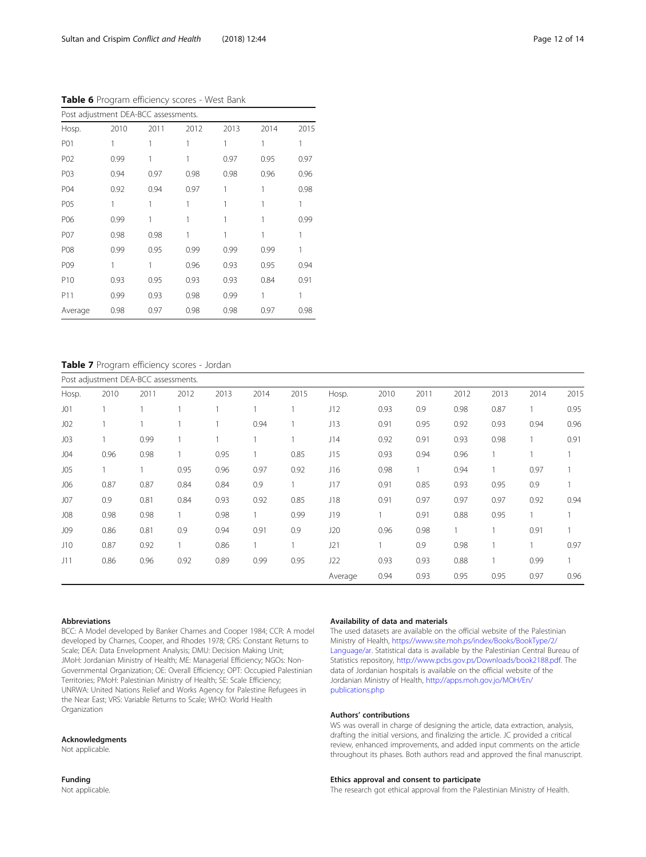| Post adjustment DEA-BCC assessments. |      |      |      |      |      |      |  |  |  |  |  |
|--------------------------------------|------|------|------|------|------|------|--|--|--|--|--|
| Hosp.                                | 2010 | 2011 | 2012 | 2013 | 2014 | 2015 |  |  |  |  |  |
| P01                                  | 1    |      |      |      |      |      |  |  |  |  |  |
| P02                                  | 0.99 |      |      | 0.97 | 0.95 | 0.97 |  |  |  |  |  |
| P03                                  | 0.94 | 0.97 | 0.98 | 0.98 | 0.96 | 0.96 |  |  |  |  |  |
| P04                                  | 0.92 | 0.94 | 0.97 |      |      | 0.98 |  |  |  |  |  |
| P <sub>05</sub>                      | 1    |      |      |      |      |      |  |  |  |  |  |
| P06                                  | 0.99 |      |      |      |      | 0.99 |  |  |  |  |  |
| P07                                  | 0.98 | 0.98 |      |      |      |      |  |  |  |  |  |
| P08                                  | 0.99 | 0.95 | 0.99 | 0.99 | 0.99 |      |  |  |  |  |  |
| P09                                  | 1    | 1    | 0.96 | 0.93 | 0.95 | 0.94 |  |  |  |  |  |
| P <sub>10</sub>                      | 0.93 | 0.95 | 0.93 | 0.93 | 0.84 | 0.91 |  |  |  |  |  |
| P11                                  | 0.99 | 0.93 | 0.98 | 0.99 |      |      |  |  |  |  |  |
| Average                              | 0.98 | 0.97 | 0.98 | 0.98 | 0.97 | 0.98 |  |  |  |  |  |

## Table 7 Program efficiency scores - Jordan

|                 |      | Post adjustment DEA-BCC assessments. |      |      |      |              |         |      |      |      |      |      |      |
|-----------------|------|--------------------------------------|------|------|------|--------------|---------|------|------|------|------|------|------|
| Hosp.           | 2010 | 2011                                 | 2012 | 2013 | 2014 | 2015         | Hosp.   | 2010 | 2011 | 2012 | 2013 | 2014 | 2015 |
| J <sub>01</sub> |      |                                      |      |      |      |              | J12     | 0.93 | 0.9  | 0.98 | 0.87 |      | 0.95 |
| J <sub>02</sub> |      |                                      |      |      | 0.94 |              | J13     | 0.91 | 0.95 | 0.92 | 0.93 | 0.94 | 0.96 |
| J <sub>03</sub> |      | 0.99                                 |      |      |      |              | J14     | 0.92 | 0.91 | 0.93 | 0.98 |      | 0.91 |
| J04             | 0.96 | 0.98                                 |      | 0.95 |      | 0.85         | J15     | 0.93 | 0.94 | 0.96 |      |      |      |
| J <sub>05</sub> |      |                                      | 0.95 | 0.96 | 0.97 | 0.92         | J16     | 0.98 |      | 0.94 |      | 0.97 |      |
| <b>JO6</b>      | 0.87 | 0.87                                 | 0.84 | 0.84 | 0.9  | $\mathbf{1}$ | J17     | 0.91 | 0.85 | 0.93 | 0.95 | 0.9  |      |
| J07             | 0.9  | 0.81                                 | 0.84 | 0.93 | 0.92 | 0.85         | J18     | 0.91 | 0.97 | 0.97 | 0.97 | 0.92 | 0.94 |
| <b>JO8</b>      | 0.98 | 0.98                                 |      | 0.98 |      | 0.99         | J19     |      | 0.91 | 0.88 | 0.95 |      |      |
| <b>JO9</b>      | 0.86 | 0.81                                 | 0.9  | 0.94 | 0.91 | 0.9          | J20     | 0.96 | 0.98 |      |      | 0.91 |      |
| J10             | 0.87 | 0.92                                 |      | 0.86 |      |              | J21     |      | 0.9  | 0.98 |      |      | 0.97 |
| J11             | 0.86 | 0.96                                 | 0.92 | 0.89 | 0.99 | 0.95         | J22     | 0.93 | 0.93 | 0.88 |      | 0.99 |      |
|                 |      |                                      |      |      |      |              | Average | 0.94 | 0.93 | 0.95 | 0.95 | 0.97 | 0.96 |

#### Abbreviations

BCC: A Model developed by Banker Charnes and Cooper 1984; CCR: A model developed by Charnes, Cooper, and Rhodes 1978; CRS: Constant Returns to Scale; DEA: Data Envelopment Analysis; DMU: Decision Making Unit; JMoH: Jordanian Ministry of Health; ME: Managerial Efficiency; NGOs: Non-Governmental Organization; OE: Overall Efficiency; OPT: Occupied Palestinian Territories; PMoH: Palestinian Ministry of Health; SE: Scale Efficiency; UNRWA: United Nations Relief and Works Agency for Palestine Refugees in the Near East; VRS: Variable Returns to Scale; WHO: World Health Organization

#### Acknowledgments

Not applicable.

Funding Not applicable.

#### Availability of data and materials

The used datasets are available on the official website of the Palestinian Ministry of Health, [https://www.site.moh.ps/index/Books/BookType/2/](https://www.site.moh.ps/index/Books/BookType/2/Language/ar) [Language/ar.](https://www.site.moh.ps/index/Books/BookType/2/Language/ar) Statistical data is available by the Palestinian Central Bureau of Statistics repository, <http://www.pcbs.gov.ps/Downloads/book2188.pdf>. The data of Jordanian hospitals is available on the official website of the Jordanian Ministry of Health, [http://apps.moh.gov.jo/MOH/En/](http://apps.moh.gov.jo/MOH/En/publications.php) [publications.php](http://apps.moh.gov.jo/MOH/En/publications.php)

## Authors' contributions

WS was overall in charge of designing the article, data extraction, analysis, drafting the initial versions, and finalizing the article. JC provided a critical review, enhanced improvements, and added input comments on the article throughout its phases. Both authors read and approved the final manuscript.

#### Ethics approval and consent to participate

The research got ethical approval from the Palestinian Ministry of Health.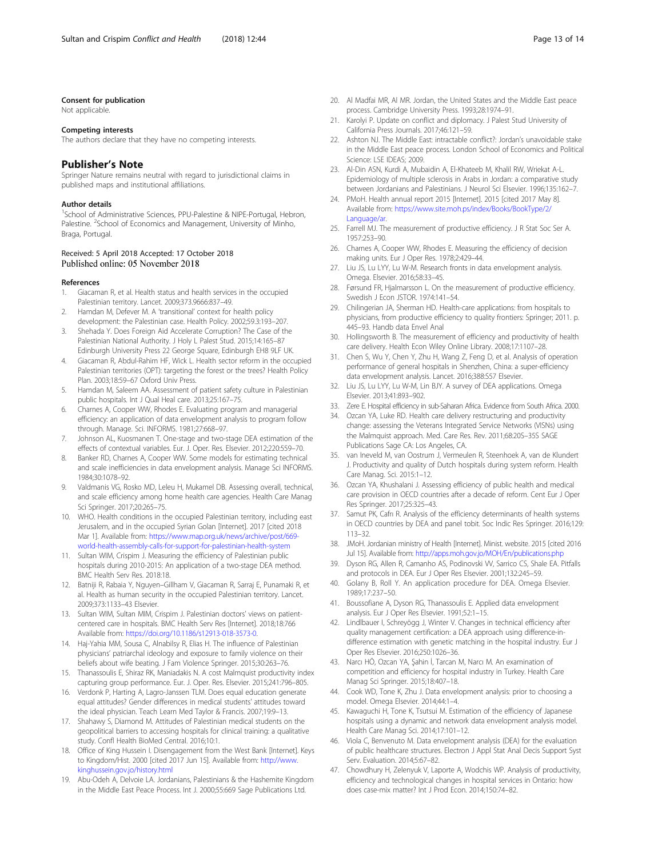#### <span id="page-12-0"></span>Consent for publication

Not applicable.

#### Competing interests

The authors declare that they have no competing interests.

## Publisher's Note

Springer Nature remains neutral with regard to jurisdictional claims in published maps and institutional affiliations.

#### Author details

<sup>1</sup>School of Administrative Sciences, PPU-Palestine & NIPE-Portugal, Hebron, Palestine. <sup>2</sup>School of Economics and Management, University of Minho, Braga, Portugal.

## Received: 5 April 2018 Accepted: 17 October 2018 Published online: 05 November 2018

#### References

- 1. Giacaman R, et al. Health status and health services in the occupied Palestinian territory. Lancet. 2009;373.9666:837–49.
- 2. Hamdan M, Defever M. A 'transitional' context for health policy development: the Palestinian case. Health Policy. 2002;59.3:193–207.
- 3. Shehada Y. Does Foreign Aid Accelerate Corruption? The Case of the Palestinian National Authority. J Holy L Palest Stud. 2015;14:165–87 Edinburgh University Press 22 George Square, Edinburgh EH8 9LF UK.
- 4. Giacaman R, Abdul-Rahim HF, Wick L. Health sector reform in the occupied Palestinian territories (OPT): targeting the forest or the trees? Health Policy Plan. 2003;18:59–67 Oxford Univ Press.
- 5. Hamdan M, Saleem AA. Assessment of patient safety culture in Palestinian public hospitals. Int J Qual Heal care. 2013;25:167–75.
- 6. Charnes A, Cooper WW, Rhodes E. Evaluating program and managerial efficiency: an application of data envelopment analysis to program follow through. Manage. Sci. INFORMS. 1981;27:668–97.
- 7. Johnson AL, Kuosmanen T. One-stage and two-stage DEA estimation of the effects of contextual variables. Eur. J. Oper. Res. Elsevier. 2012;220:559–70.
- 8. Banker RD, Charnes A, Cooper WW. Some models for estimating technical and scale inefficiencies in data envelopment analysis. Manage Sci INFORMS. 1984;30:1078–92.
- Valdmanis VG, Rosko MD, Leleu H, Mukamel DB. Assessing overall, technical, and scale efficiency among home health care agencies. Health Care Manag Sci Springer. 2017;20:265–75.
- 10. WHO. Health conditions in the occupied Palestinian territory, including east Jerusalem, and in the occupied Syrian Golan [Internet]. 2017 [cited 2018 Mar 1]. Available from: [https://www.map.org.uk/news/archive/post/669](https://www.map.org.uk/news/archive/post/669-world-health-assembly-calls-for-support-for-palestinian-health-system) [world-health-assembly-calls-for-support-for-palestinian-health-system](https://www.map.org.uk/news/archive/post/669-world-health-assembly-calls-for-support-for-palestinian-health-system)
- 11. Sultan WIM, Crispim J. Measuring the efficiency of Palestinian public hospitals during 2010-2015: An application of a two-stage DEA method. BMC Health Serv Res. 2018:18.
- 12. Batniji R, Rabaia Y, Nguyen–Gillham V, Giacaman R, Sarraj E, Punamaki R, et al. Health as human security in the occupied Palestinian territory. Lancet. 2009;373:1133–43 Elsevier.
- 13. Sultan WIM, Sultan MIM, Crispim J. Palestinian doctors' views on patientcentered care in hospitals. BMC Health Serv Res [Internet]. 2018;18:766 Available from: [https://doi.org/10.1186/s12913-018-3573-0.](https://doi.org/10.1186/s12913-018-3573-0)
- 14. Haj-Yahia MM, Sousa C, Alnabilsy R, Elias H. The influence of Palestinian physicians' patriarchal ideology and exposure to family violence on their beliefs about wife beating. J Fam Violence Springer. 2015;30:263–76.
- 15. Thanassoulis E, Shiraz RK, Maniadakis N. A cost Malmquist productivity index capturing group performance. Eur. J. Oper. Res. Elsevier. 2015;241:796–805.
- 16. Verdonk P, Harting A, Lagro-Janssen TLM. Does equal education generate equal attitudes? Gender differences in medical students' attitudes toward the ideal physician. Teach Learn Med Taylor & Francis. 2007;19:9–13.
- 17. Shahawy S, Diamond M. Attitudes of Palestinian medical students on the geopolitical barriers to accessing hospitals for clinical training: a qualitative study. Confl Health BioMed Central. 2016;10:1.
- 18. Office of King Hussein I. Disengagement from the West Bank [Internet]. Keys to Kingdom/Hist. 2000 [cited 2017 Jun 15]. Available from: [http://www.](http://www.kinghussein.gov.jo/history.html) [kinghussein.gov.jo/history.html](http://www.kinghussein.gov.jo/history.html)
- 19. Abu-Odeh A, Delvoie LA. Jordanians, Palestinians & the Hashemite Kingdom in the Middle East Peace Process. Int J. 2000;55:669 Sage Publications Ltd.
- 20. Al Madfai MR, Al MR. Jordan, the United States and the Middle East peace process. Cambridge University Press. 1993;28:1974–91.
- Karolyi P. Update on conflict and diplomacy. J Palest Stud University of California Press Journals. 2017;46:121–59.
- 22. Ashton NJ. The Middle East: intractable conflict?: Jordan's unavoidable stake in the Middle East peace process. London School of Economics and Political Science: LSE IDEAS; 2009.
- 23. Al-Din ASN, Kurdi A, Mubaidin A, El-Khateeb M, Khalil RW, Wriekat A-L. Epidemiology of multiple sclerosis in Arabs in Jordan: a comparative study between Jordanians and Palestinians. J Neurol Sci Elsevier. 1996;135:162–7.
- 24. PMoH. Health annual report 2015 [Internet]. 2015 [cited 2017 May 8]. Available from: [https://www.site.moh.ps/index/Books/BookType/2/](https://www.site.moh.ps/index/Books/BookType/2/Language/ar) [Language/ar.](https://www.site.moh.ps/index/Books/BookType/2/Language/ar)
- 25. Farrell MJ. The measurement of productive efficiency. J R Stat Soc Ser A. 1957:253–90.
- 26. Charnes A, Cooper WW, Rhodes E. Measuring the efficiency of decision making units. Eur J Oper Res. 1978;2:429–44.
- 27. Liu JS, Lu LYY, Lu W-M. Research fronts in data envelopment analysis. Omega. Elsevier. 2016;58:33–45.
- 28. Førsund FR, Hjalmarsson L. On the measurement of productive efficiency. Swedish J Econ JSTOR. 1974:141–54.
- 29. Chilingerian JA, Sherman HD. Health-care applications: from hospitals to physicians, from productive efficiency to quality frontiers: Springer; 2011. p. 445–93. Handb data Envel Anal
- 30. Hollingsworth B. The measurement of efficiency and productivity of health care delivery. Health Econ Wiley Online Library. 2008;17:1107–28.
- 31. Chen S, Wu Y, Chen Y, Zhu H, Wang Z, Feng D, et al. Analysis of operation performance of general hospitals in Shenzhen, China: a super-efficiency data envelopment analysis. Lancet. 2016;388:S57 Elsevier.
- 32. Liu JS, Lu LYY, Lu W-M, Lin BJY. A survey of DEA applications. Omega Elsevier. 2013;41:893–902.
- 33. Zere E. Hospital efficiency in sub-Saharan Africa. Evidence from South Africa. 2000.
- 34. Ozcan YA, Luke RD. Health care delivery restructuring and productivity change: assessing the Veterans Integrated Service Networks (VISNs) using the Malmquist approach. Med. Care Res. Rev. 2011;68:20S–35S SAGE Publications Sage CA: Los Angeles, CA.
- 35. van Ineveld M, van Oostrum J, Vermeulen R, Steenhoek A, van de Klundert J. Productivity and quality of Dutch hospitals during system reform. Health Care Manag. Sci. 2015:1–12.
- 36. Ozcan YA, Khushalani J. Assessing efficiency of public health and medical care provision in OECD countries after a decade of reform. Cent Eur J Oper Res Springer. 2017;25:325–43.
- 37. Samut PK, Cafrı R. Analysis of the efficiency determinants of health systems in OECD countries by DEA and panel tobit. Soc Indic Res Springer. 2016;129: 113–32.
- 38. JMoH. Jordanian ministry of Health [Internet]. Minist. website. 2015 [cited 2016 Jul 15]. Available from: <http://apps.moh.gov.jo/MOH/En/publications.php>
- 39. Dyson RG, Allen R, Camanho AS, Podinovski VV, Sarrico CS, Shale EA. Pitfalls and protocols in DEA. Eur J Oper Res Elsevier. 2001;132:245–59.
- 40. Golany B, Roll Y. An application procedure for DEA. Omega Elsevier. 1989;17:237–50.
- 41. Boussofiane A, Dyson RG, Thanassoulis E. Applied data envelopment analysis. Eur J Oper Res Elsevier. 1991;52:1–15.
- 42. Lindlbauer I, Schreyögg J, Winter V. Changes in technical efficiency after quality management certification: a DEA approach using difference-indifference estimation with genetic matching in the hospital industry. Eur J Oper Res Elsevier. 2016;250:1026–36.
- 43. Narcı HÖ, Ozcan YA, Şahin İ, Tarcan M, Narcı M. An examination of competition and efficiency for hospital industry in Turkey. Health Care Manag Sci Springer. 2015;18:407–18.
- 44. Cook WD, Tone K, Zhu J. Data envelopment analysis: prior to choosing a model. Omega Elsevier. 2014;44:1–4.
- 45. Kawaguchi H, Tone K, Tsutsui M. Estimation of the efficiency of Japanese hospitals using a dynamic and network data envelopment analysis model. Health Care Manag Sci. 2014;17:101–12.
- 46. Viola C, Benvenuto M. Data envelopment analysis (DEA) for the evaluation of public healthcare structures. Electron J Appl Stat Anal Decis Support Syst Serv. Evaluation. 2014;5:67–82.
- 47. Chowdhury H, Zelenyuk V, Laporte A, Wodchis WP. Analysis of productivity, efficiency and technological changes in hospital services in Ontario: how does case-mix matter? Int J Prod Econ. 2014;150:74–82.